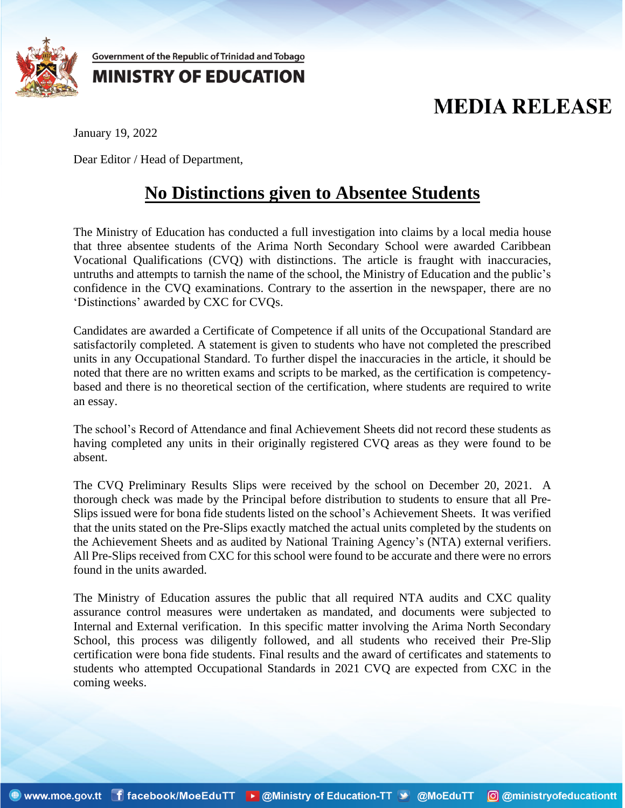

Government of the Republic of Trinidad and Tobago

## **MINISTRY OF EDUCATION**

## **MEDIA RELEASE**

January 19, 2022

Dear Editor / Head of Department,

## **No Distinctions given to Absentee Students**

The Ministry of Education has conducted a full investigation into claims by a local media house that three absentee students of the Arima North Secondary School were awarded Caribbean Vocational Qualifications (CVQ) with distinctions. The article is fraught with inaccuracies, untruths and attempts to tarnish the name of the school, the Ministry of Education and the public's confidence in the CVQ examinations. Contrary to the assertion in the newspaper, there are no 'Distinctions' awarded by CXC for CVQs.

Candidates are awarded a Certificate of Competence if all units of the Occupational Standard are satisfactorily completed. A statement is given to students who have not completed the prescribed units in any Occupational Standard. To further dispel the inaccuracies in the article, it should be noted that there are no written exams and scripts to be marked, as the certification is competencybased and there is no theoretical section of the certification, where students are required to write an essay.

The school's Record of Attendance and final Achievement Sheets did not record these students as having completed any units in their originally registered CVQ areas as they were found to be absent.

The CVQ Preliminary Results Slips were received by the school on December 20, 2021. A thorough check was made by the Principal before distribution to students to ensure that all Pre-Slips issued were for bona fide students listed on the school's Achievement Sheets. It was verified that the units stated on the Pre-Slips exactly matched the actual units completed by the students on the Achievement Sheets and as audited by National Training Agency's (NTA) external verifiers. All Pre-Slips received from CXC for this school were found to be accurate and there were no errors found in the units awarded.

The Ministry of Education assures the public that all required NTA audits and CXC quality assurance control measures were undertaken as mandated, and documents were subjected to Internal and External verification. In this specific matter involving the Arima North Secondary School, this process was diligently followed, and all students who received their Pre-Slip certification were bona fide students. Final results and the award of certificates and statements to students who attempted Occupational Standards in 2021 CVQ are expected from CXC in the coming weeks.